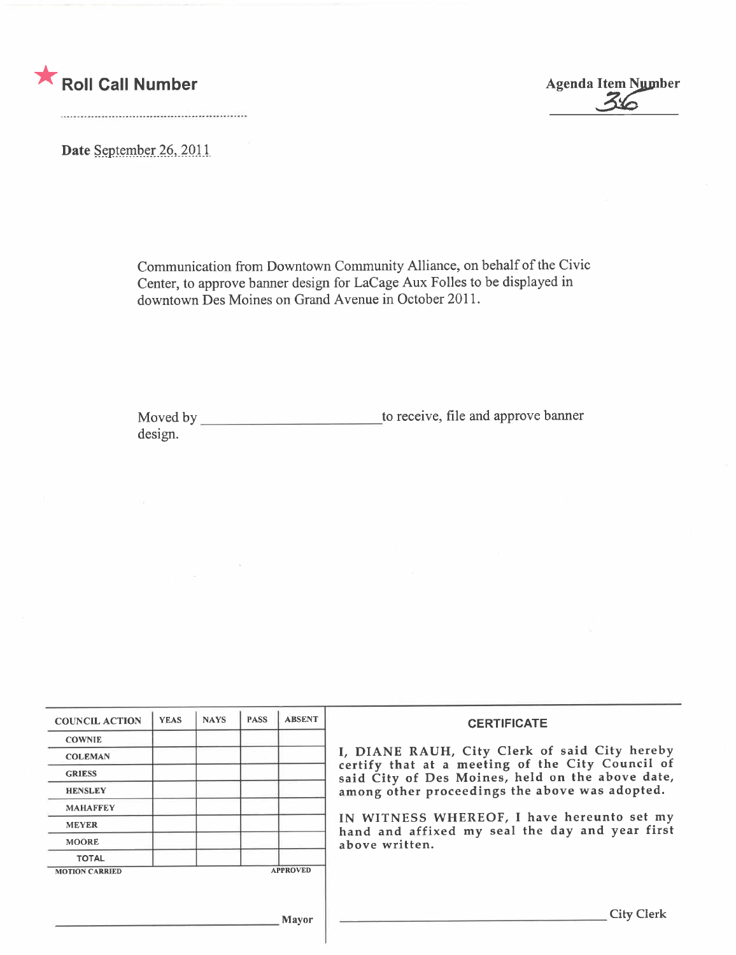

Date September 26, 2011

Communication from Downtown Community Alliance, on behalf of the Civic Center, to approve banner design for LaCage Aux Folles to be displayed in downtown Des Moines on Grand Avenue in October 2011.

Moved by to receive, fie and approve banner design.

| <b>COUNCIL ACTION</b> | <b>YEAS</b> | <b>NAYS</b> | <b>PASS</b> | <b>ABSENT</b>   | <b>CERTIFICATE</b><br>I, DIANE RAUH, City Clerk of said City hereby<br>certify that at a meeting of the City Council of<br>said City of Des Moines, held on the above date,<br>among other proceedings the above was adopted. |  |
|-----------------------|-------------|-------------|-------------|-----------------|-------------------------------------------------------------------------------------------------------------------------------------------------------------------------------------------------------------------------------|--|
|                       |             |             |             |                 |                                                                                                                                                                                                                               |  |
| <b>COWNIE</b>         |             |             |             |                 |                                                                                                                                                                                                                               |  |
| <b>COLEMAN</b>        |             |             |             |                 |                                                                                                                                                                                                                               |  |
| <b>GRIESS</b>         |             |             |             |                 |                                                                                                                                                                                                                               |  |
| <b>HENSLEY</b>        |             |             |             |                 |                                                                                                                                                                                                                               |  |
| <b>MAHAFFEY</b>       |             |             |             |                 |                                                                                                                                                                                                                               |  |
| <b>MEYER</b>          |             |             |             |                 | IN WITNESS WHEREOF, I have hereunto set my<br>hand and affixed my seal the day and year first                                                                                                                                 |  |
| <b>MOORE</b>          |             |             |             |                 | above written.                                                                                                                                                                                                                |  |
| <b>TOTAL</b>          |             |             |             |                 |                                                                                                                                                                                                                               |  |
| <b>MOTION CARRIED</b> |             |             |             | <b>APPROVED</b> |                                                                                                                                                                                                                               |  |
|                       |             |             |             |                 |                                                                                                                                                                                                                               |  |
|                       |             |             |             |                 |                                                                                                                                                                                                                               |  |
| <b>Mayor</b>          |             |             |             |                 | <b>City Clerk</b>                                                                                                                                                                                                             |  |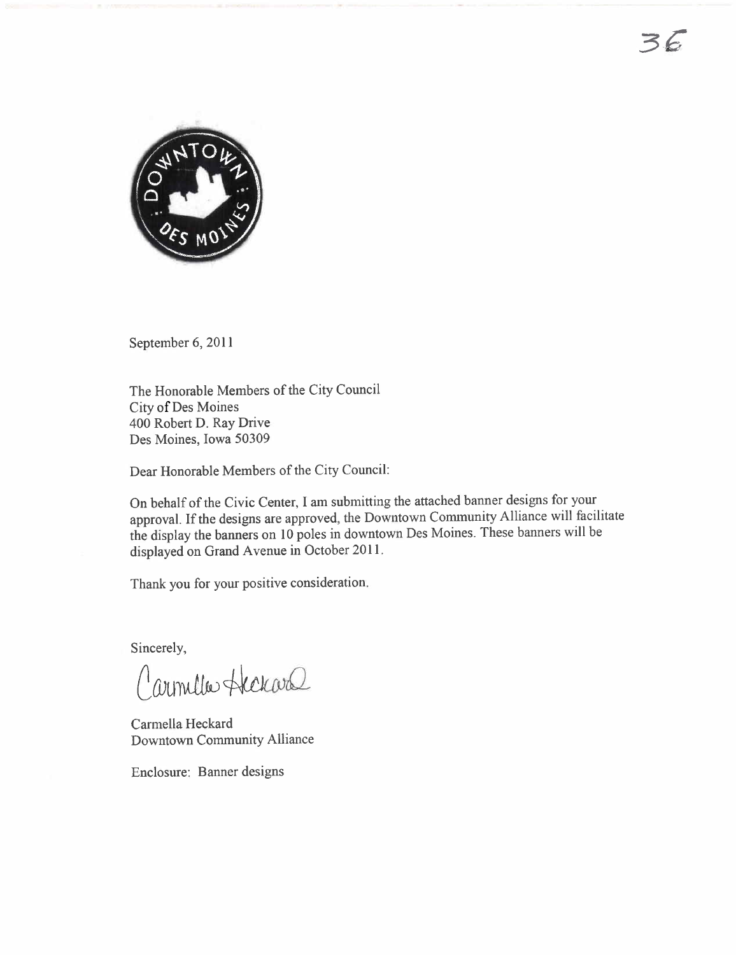

September 6, 2011

The Honorable Members of the City Council City of Des Moines 400 Robert D. Ray Drive Des Moines, Iowa 50309

Dear Honorable Members of the City Council:

On behalf of the Civic Center, I am submitting the attached banner designs for your approvaL. If the designs are approved, the Downtown Conununity Alliance will facilitate the display the banners on 10 poles in downtown Des Moines. These banners will be displayed on Grand Avenue in October 2011.

Thank you for your positive consideration.

Sincerely,

Carmelles Heckard

Carmella Heckard Downtown Community Alliance

Enclosure: Banner designs